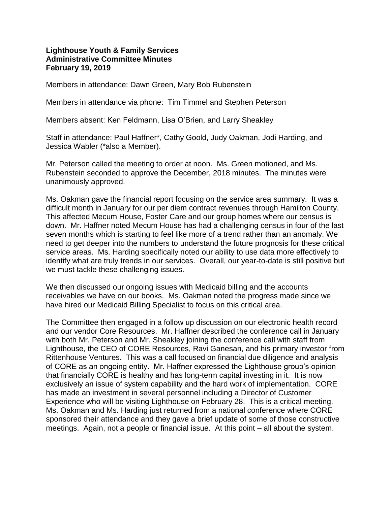## **Lighthouse Youth & Family Services Administrative Committee Minutes February 19, 2019**

Members in attendance: Dawn Green, Mary Bob Rubenstein

Members in attendance via phone: Tim Timmel and Stephen Peterson

Members absent: Ken Feldmann, Lisa O'Brien, and Larry Sheakley

Staff in attendance: Paul Haffner\*, Cathy Goold, Judy Oakman, Jodi Harding, and Jessica Wabler (\*also a Member).

Mr. Peterson called the meeting to order at noon. Ms. Green motioned, and Ms. Rubenstein seconded to approve the December, 2018 minutes. The minutes were unanimously approved.

Ms. Oakman gave the financial report focusing on the service area summary. It was a difficult month in January for our per diem contract revenues through Hamilton County. This affected Mecum House, Foster Care and our group homes where our census is down. Mr. Haffner noted Mecum House has had a challenging census in four of the last seven months which is starting to feel like more of a trend rather than an anomaly. We need to get deeper into the numbers to understand the future prognosis for these critical service areas. Ms. Harding specifically noted our ability to use data more effectively to identify what are truly trends in our services. Overall, our year-to-date is still positive but we must tackle these challenging issues.

We then discussed our ongoing issues with Medicaid billing and the accounts receivables we have on our books. Ms. Oakman noted the progress made since we have hired our Medicaid Billing Specialist to focus on this critical area.

The Committee then engaged in a follow up discussion on our electronic health record and our vendor Core Resources. Mr. Haffner described the conference call in January with both Mr. Peterson and Mr. Sheakley joining the conference call with staff from Lighthouse, the CEO of CORE Resources, Ravi Ganesan, and his primary investor from Rittenhouse Ventures. This was a call focused on financial due diligence and analysis of CORE as an ongoing entity. Mr. Haffner expressed the Lighthouse group's opinion that financially CORE is healthy and has long-term capital investing in it. It is now exclusively an issue of system capability and the hard work of implementation. CORE has made an investment in several personnel including a Director of Customer Experience who will be visiting Lighthouse on February 28. This is a critical meeting. Ms. Oakman and Ms. Harding just returned from a national conference where CORE sponsored their attendance and they gave a brief update of some of those constructive meetings. Again, not a people or financial issue. At this point – all about the system.